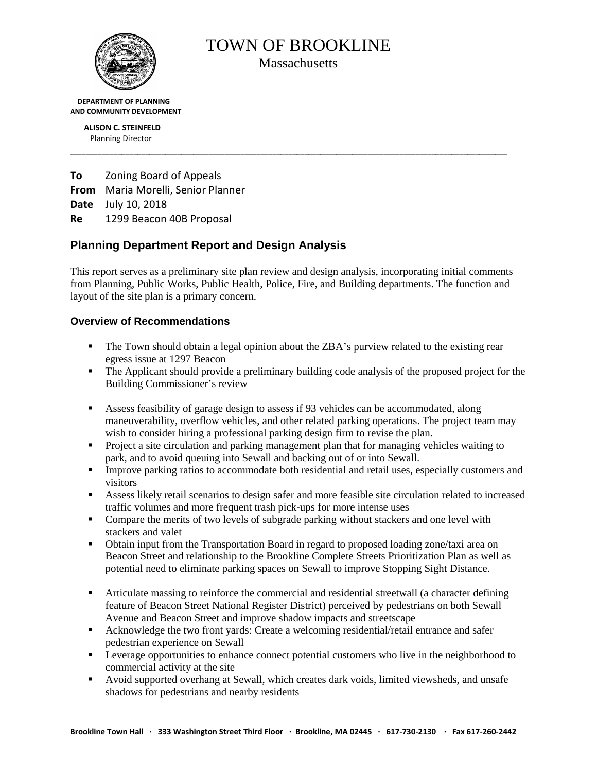

TOWN OF BROOKLINE

**Massachusetts** 

\_\_\_\_\_\_\_\_\_\_\_\_\_\_\_\_\_\_\_\_\_\_\_\_\_\_\_\_\_\_\_\_\_\_\_\_\_\_\_\_\_\_\_\_\_\_\_\_\_\_\_\_\_\_\_\_\_\_\_\_\_\_\_\_\_\_\_\_\_\_\_\_\_\_\_\_\_\_\_\_\_\_\_\_\_\_\_\_\_\_\_\_\_\_\_\_\_\_\_\_\_\_\_\_\_\_\_\_\_\_

 **DEPARTMENT OF PLANNING AND COMMUNITY DEVELOPMENT**

> **ALISON C. STEINFELD** Planning Director

**To** Zoning Board of Appeals **From** Maria Morelli, Senior Planner **Date** July 10, 2018 **Re** 1299 Beacon 40B Proposal

# **Planning Department Report and Design Analysis**

This report serves as a preliminary site plan review and design analysis, incorporating initial comments from Planning, Public Works, Public Health, Police, Fire, and Building departments. The function and layout of the site plan is a primary concern.

# **Overview of Recommendations**

- The Town should obtain a legal opinion about the ZBA's purview related to the existing rear egress issue at 1297 Beacon
- The Applicant should provide a preliminary building code analysis of the proposed project for the Building Commissioner's review
- Assess feasibility of garage design to assess if 93 vehicles can be accommodated, along maneuverability, overflow vehicles, and other related parking operations. The project team may wish to consider hiring a professional parking design firm to revise the plan.
- **Project a site circulation and parking management plan that for managing vehicles waiting to** park, and to avoid queuing into Sewall and backing out of or into Sewall.
- **IMPROVE PARKING FIGURE 2** Improve parking ratios to accommodate both residential and retail uses, especially customers and visitors
- Assess likely retail scenarios to design safer and more feasible site circulation related to increased traffic volumes and more frequent trash pick-ups for more intense uses
- Compare the merits of two levels of subgrade parking without stackers and one level with stackers and valet
- Obtain input from the Transportation Board in regard to proposed loading zone/taxi area on Beacon Street and relationship to the Brookline Complete Streets Prioritization Plan as well as potential need to eliminate parking spaces on Sewall to improve Stopping Sight Distance.
- Articulate massing to reinforce the commercial and residential streetwall (a character defining feature of Beacon Street National Register District) perceived by pedestrians on both Sewall Avenue and Beacon Street and improve shadow impacts and streetscape
- Acknowledge the two front yards: Create a welcoming residential/retail entrance and safer pedestrian experience on Sewall
- **Example 1** Leverage opportunities to enhance connect potential customers who live in the neighborhood to commercial activity at the site
- Avoid supported overhang at Sewall, which creates dark voids, limited viewsheds, and unsafe shadows for pedestrians and nearby residents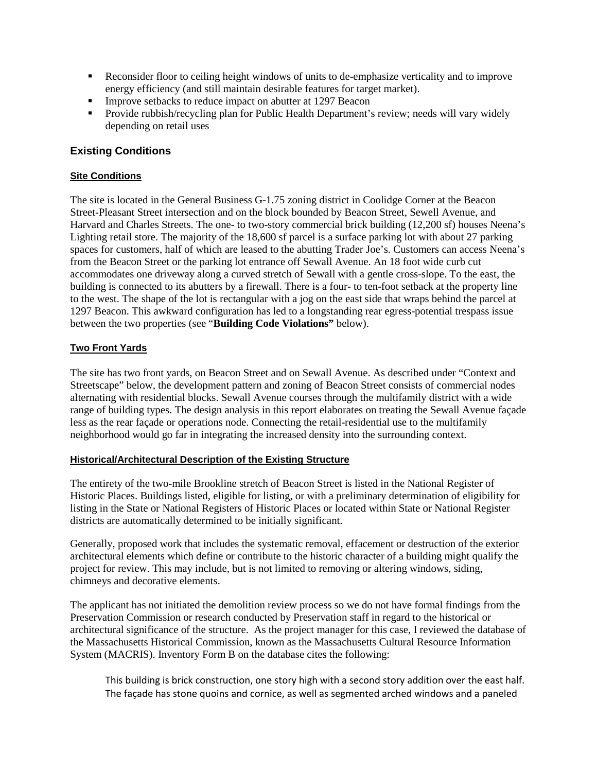- Reconsider floor to ceiling height windows of units to de-emphasize verticality and to improve energy efficiency (and still maintain desirable features for target market).
- **IMPROVE SEEDACKS TO reduce impact on abutter at 1297 Beacon**
- **Provide rubbish/recycling plan for Public Health Department's review; needs will vary widely** depending on retail uses

### **Existing Conditions**

#### **Site Conditions**

The site is located in the General Business G-1.75 zoning district in Coolidge Corner at the Beacon Street-Pleasant Street intersection and on the block bounded by Beacon Street, Sewell Avenue, and Harvard and Charles Streets. The one- to two-story commercial brick building (12,200 sf) houses Neena's Lighting retail store. The majority of the 18,600 sf parcel is a surface parking lot with about 27 parking spaces for customers, half of which are leased to the abutting Trader Joe's. Customers can access Neena's from the Beacon Street or the parking lot entrance off Sewall Avenue. An 18 foot wide curb cut accommodates one driveway along a curved stretch of Sewall with a gentle cross-slope. To the east, the building is connected to its abutters by a firewall. There is a four- to ten-foot setback at the property line to the west. The shape of the lot is rectangular with a jog on the east side that wraps behind the parcel at 1297 Beacon. This awkward configuration has led to a longstanding rear egress-potential trespass issue between the two properties (see "**Building Code Violations"** below).

#### **Two Front Yards**

The site has two front yards, on Beacon Street and on Sewall Avenue. As described under "Context and Streetscape" below, the development pattern and zoning of Beacon Street consists of commercial nodes alternating with residential blocks. Sewall Avenue courses through the multifamily district with a wide range of building types. The design analysis in this report elaborates on treating the Sewall Avenue façade less as the rear façade or operations node. Connecting the retail-residential use to the multifamily neighborhood would go far in integrating the increased density into the surrounding context.

#### **Historical/Architectural Description of the Existing Structure**

The entirety of the two-mile Brookline stretch of Beacon Street is listed in the National Register of Historic Places. Buildings listed, eligible for listing, or with a preliminary determination of eligibility for listing in the State or National Registers of Historic Places or located within State or National Register districts are automatically determined to be initially significant.

Generally, proposed work that includes the systematic removal, effacement or destruction of the exterior architectural elements which define or contribute to the historic character of a building might qualify the project for review. This may include, but is not limited to removing or altering windows, siding, chimneys and decorative elements.

The applicant has not initiated the demolition review process so we do not have formal findings from the Preservation Commission or research conducted by Preservation staff in regard to the historical or architectural significance of the structure. As the project manager for this case, I reviewed the database of the Massachusetts Historical Commission, known as the Massachusetts Cultural Resource Information System (MACRIS). Inventory Form B on the database cites the following:

This building is brick construction, one story high with a second story addition over the east half. The façade has stone quoins and cornice, as well as segmented arched windows and a paneled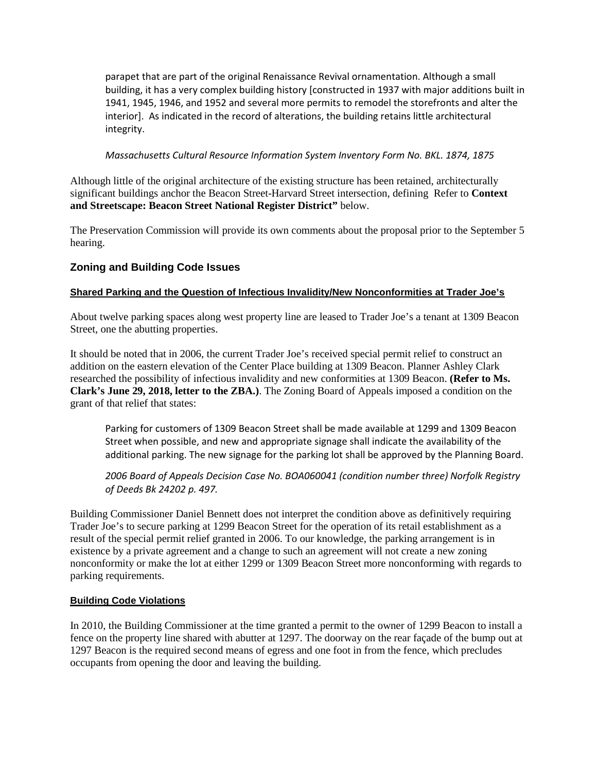parapet that are part of the original Renaissance Revival ornamentation. Although a small building, it has a very complex building history [constructed in 1937 with major additions built in 1941, 1945, 1946, and 1952 and several more permits to remodel the storefronts and alter the interior]. As indicated in the record of alterations, the building retains little architectural integrity.

#### *Massachusetts Cultural Resource Information System Inventory Form No. BKL. 1874, 1875*

Although little of the original architecture of the existing structure has been retained, architecturally significant buildings anchor the Beacon Street-Harvard Street intersection, defining Refer to **Context and Streetscape: Beacon Street National Register District"** below.

The Preservation Commission will provide its own comments about the proposal prior to the September 5 hearing.

### **Zoning and Building Code Issues**

#### **Shared Parking and the Question of Infectious Invalidity/New Nonconformities at Trader Joe's**

About twelve parking spaces along west property line are leased to Trader Joe's a tenant at 1309 Beacon Street, one the abutting properties.

It should be noted that in 2006, the current Trader Joe's received special permit relief to construct an addition on the eastern elevation of the Center Place building at 1309 Beacon. Planner Ashley Clark researched the possibility of infectious invalidity and new conformities at 1309 Beacon. **(Refer to Ms. Clark's June 29, 2018, letter to the ZBA.)**. The Zoning Board of Appeals imposed a condition on the grant of that relief that states:

Parking for customers of 1309 Beacon Street shall be made available at 1299 and 1309 Beacon Street when possible, and new and appropriate signage shall indicate the availability of the additional parking. The new signage for the parking lot shall be approved by the Planning Board.

*2006 Board of Appeals Decision Case No. BOA060041 (condition number three) Norfolk Registry of Deeds Bk 24202 p. 497.*

Building Commissioner Daniel Bennett does not interpret the condition above as definitively requiring Trader Joe's to secure parking at 1299 Beacon Street for the operation of its retail establishment as a result of the special permit relief granted in 2006. To our knowledge, the parking arrangement is in existence by a private agreement and a change to such an agreement will not create a new zoning nonconformity or make the lot at either 1299 or 1309 Beacon Street more nonconforming with regards to parking requirements.

#### **Building Code Violations**

In 2010, the Building Commissioner at the time granted a permit to the owner of 1299 Beacon to install a fence on the property line shared with abutter at 1297. The doorway on the rear façade of the bump out at 1297 Beacon is the required second means of egress and one foot in from the fence, which precludes occupants from opening the door and leaving the building.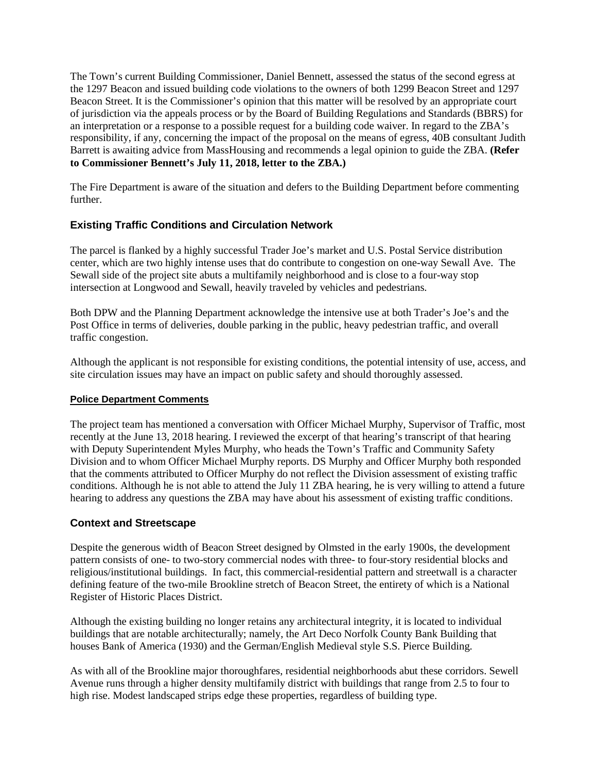The Town's current Building Commissioner, Daniel Bennett, assessed the status of the second egress at the 1297 Beacon and issued building code violations to the owners of both 1299 Beacon Street and 1297 Beacon Street. It is the Commissioner's opinion that this matter will be resolved by an appropriate court of jurisdiction via the appeals process or by the Board of Building Regulations and Standards (BBRS) for an interpretation or a response to a possible request for a building code waiver. In regard to the ZBA's responsibility, if any, concerning the impact of the proposal on the means of egress, 40B consultant Judith Barrett is awaiting advice from MassHousing and recommends a legal opinion to guide the ZBA. **(Refer to Commissioner Bennett's July 11, 2018, letter to the ZBA.)**

The Fire Department is aware of the situation and defers to the Building Department before commenting further.

# **Existing Traffic Conditions and Circulation Network**

The parcel is flanked by a highly successful Trader Joe's market and U.S. Postal Service distribution center, which are two highly intense uses that do contribute to congestion on one-way Sewall Ave. The Sewall side of the project site abuts a multifamily neighborhood and is close to a four-way stop intersection at Longwood and Sewall, heavily traveled by vehicles and pedestrians.

Both DPW and the Planning Department acknowledge the intensive use at both Trader's Joe's and the Post Office in terms of deliveries, double parking in the public, heavy pedestrian traffic, and overall traffic congestion.

Although the applicant is not responsible for existing conditions, the potential intensity of use, access, and site circulation issues may have an impact on public safety and should thoroughly assessed.

### **Police Department Comments**

The project team has mentioned a conversation with Officer Michael Murphy, Supervisor of Traffic, most recently at the June 13, 2018 hearing. I reviewed the excerpt of that hearing's transcript of that hearing with Deputy Superintendent Myles Murphy, who heads the Town's Traffic and Community Safety Division and to whom Officer Michael Murphy reports. DS Murphy and Officer Murphy both responded that the comments attributed to Officer Murphy do not reflect the Division assessment of existing traffic conditions. Although he is not able to attend the July 11 ZBA hearing, he is very willing to attend a future hearing to address any questions the ZBA may have about his assessment of existing traffic conditions.

### **Context and Streetscape**

Despite the generous width of Beacon Street designed by Olmsted in the early 1900s, the development pattern consists of one- to two-story commercial nodes with three- to four-story residential blocks and religious/institutional buildings. In fact, this commercial-residential pattern and streetwall is a character defining feature of the two-mile Brookline stretch of Beacon Street, the entirety of which is a National Register of Historic Places District.

Although the existing building no longer retains any architectural integrity, it is located to individual buildings that are notable architecturally; namely, the Art Deco Norfolk County Bank Building that houses Bank of America (1930) and the German/English Medieval style S.S. Pierce Building.

As with all of the Brookline major thoroughfares, residential neighborhoods abut these corridors. Sewell Avenue runs through a higher density multifamily district with buildings that range from 2.5 to four to high rise. Modest landscaped strips edge these properties, regardless of building type.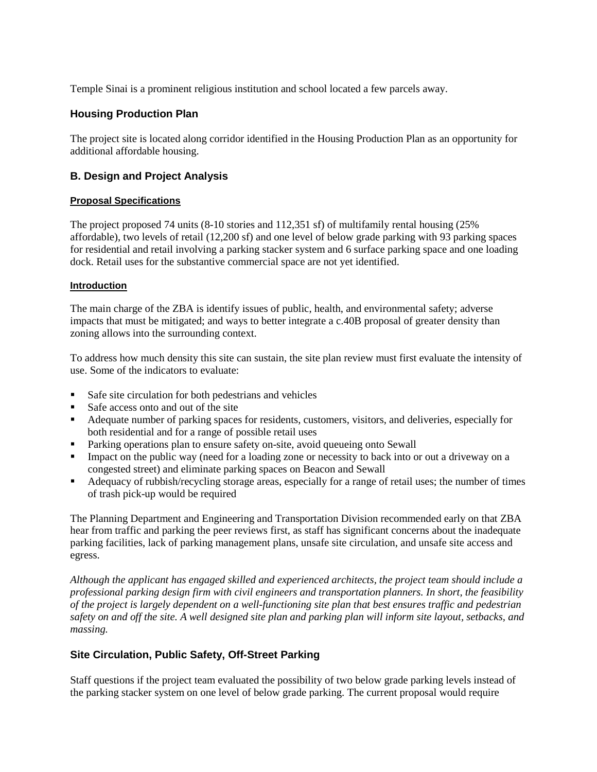Temple Sinai is a prominent religious institution and school located a few parcels away.

### **Housing Production Plan**

The project site is located along corridor identified in the Housing Production Plan as an opportunity for additional affordable housing.

### **B. Design and Project Analysis**

#### **Proposal Specifications**

The project proposed 74 units (8-10 stories and 112,351 sf) of multifamily rental housing (25% affordable), two levels of retail (12,200 sf) and one level of below grade parking with 93 parking spaces for residential and retail involving a parking stacker system and 6 surface parking space and one loading dock. Retail uses for the substantive commercial space are not yet identified.

#### **Introduction**

The main charge of the ZBA is identify issues of public, health, and environmental safety; adverse impacts that must be mitigated; and ways to better integrate a c.40B proposal of greater density than zoning allows into the surrounding context.

To address how much density this site can sustain, the site plan review must first evaluate the intensity of use. Some of the indicators to evaluate:

- Safe site circulation for both pedestrians and vehicles
- Safe access onto and out of the site
- Adequate number of parking spaces for residents, customers, visitors, and deliveries, especially for both residential and for a range of possible retail uses
- Parking operations plan to ensure safety on-site, avoid queueing onto Sewall
- Impact on the public way (need for a loading zone or necessity to back into or out a driveway on a congested street) and eliminate parking spaces on Beacon and Sewall
- Adequacy of rubbish/recycling storage areas, especially for a range of retail uses; the number of times of trash pick-up would be required

The Planning Department and Engineering and Transportation Division recommended early on that ZBA hear from traffic and parking the peer reviews first, as staff has significant concerns about the inadequate parking facilities, lack of parking management plans, unsafe site circulation, and unsafe site access and egress.

*Although the applicant has engaged skilled and experienced architects, the project team should include a professional parking design firm with civil engineers and transportation planners. In short, the feasibility of the project is largely dependent on a well-functioning site plan that best ensures traffic and pedestrian safety on and off the site. A well designed site plan and parking plan will inform site layout, setbacks, and massing.* 

### **Site Circulation, Public Safety, Off-Street Parking**

Staff questions if the project team evaluated the possibility of two below grade parking levels instead of the parking stacker system on one level of below grade parking. The current proposal would require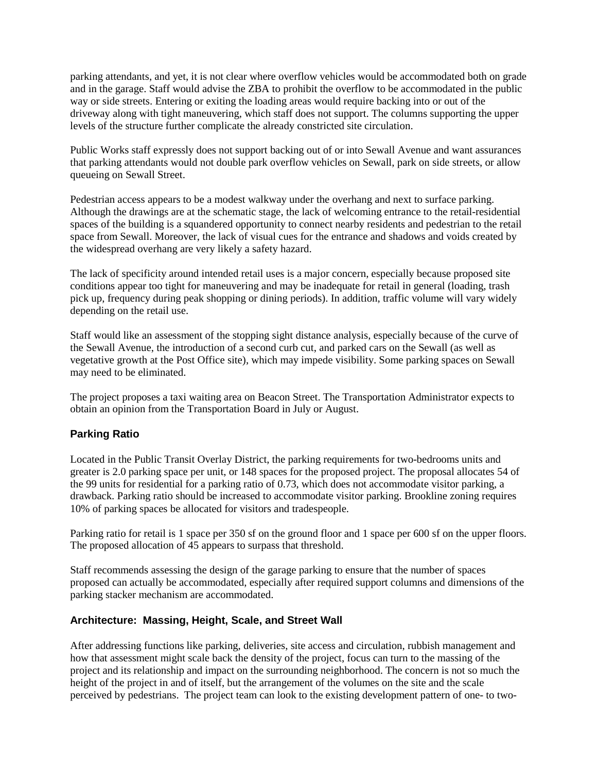parking attendants, and yet, it is not clear where overflow vehicles would be accommodated both on grade and in the garage. Staff would advise the ZBA to prohibit the overflow to be accommodated in the public way or side streets. Entering or exiting the loading areas would require backing into or out of the driveway along with tight maneuvering, which staff does not support. The columns supporting the upper levels of the structure further complicate the already constricted site circulation.

Public Works staff expressly does not support backing out of or into Sewall Avenue and want assurances that parking attendants would not double park overflow vehicles on Sewall, park on side streets, or allow queueing on Sewall Street.

Pedestrian access appears to be a modest walkway under the overhang and next to surface parking. Although the drawings are at the schematic stage, the lack of welcoming entrance to the retail-residential spaces of the building is a squandered opportunity to connect nearby residents and pedestrian to the retail space from Sewall. Moreover, the lack of visual cues for the entrance and shadows and voids created by the widespread overhang are very likely a safety hazard.

The lack of specificity around intended retail uses is a major concern, especially because proposed site conditions appear too tight for maneuvering and may be inadequate for retail in general (loading, trash pick up, frequency during peak shopping or dining periods). In addition, traffic volume will vary widely depending on the retail use.

Staff would like an assessment of the stopping sight distance analysis, especially because of the curve of the Sewall Avenue, the introduction of a second curb cut, and parked cars on the Sewall (as well as vegetative growth at the Post Office site), which may impede visibility. Some parking spaces on Sewall may need to be eliminated.

The project proposes a taxi waiting area on Beacon Street. The Transportation Administrator expects to obtain an opinion from the Transportation Board in July or August.

# **Parking Ratio**

Located in the Public Transit Overlay District, the parking requirements for two-bedrooms units and greater is 2.0 parking space per unit, or 148 spaces for the proposed project. The proposal allocates 54 of the 99 units for residential for a parking ratio of 0.73, which does not accommodate visitor parking, a drawback. Parking ratio should be increased to accommodate visitor parking. Brookline zoning requires 10% of parking spaces be allocated for visitors and tradespeople.

Parking ratio for retail is 1 space per 350 sf on the ground floor and 1 space per 600 sf on the upper floors. The proposed allocation of 45 appears to surpass that threshold.

Staff recommends assessing the design of the garage parking to ensure that the number of spaces proposed can actually be accommodated, especially after required support columns and dimensions of the parking stacker mechanism are accommodated.

### **Architecture: Massing, Height, Scale, and Street Wall**

After addressing functions like parking, deliveries, site access and circulation, rubbish management and how that assessment might scale back the density of the project, focus can turn to the massing of the project and its relationship and impact on the surrounding neighborhood. The concern is not so much the height of the project in and of itself, but the arrangement of the volumes on the site and the scale perceived by pedestrians. The project team can look to the existing development pattern of one- to two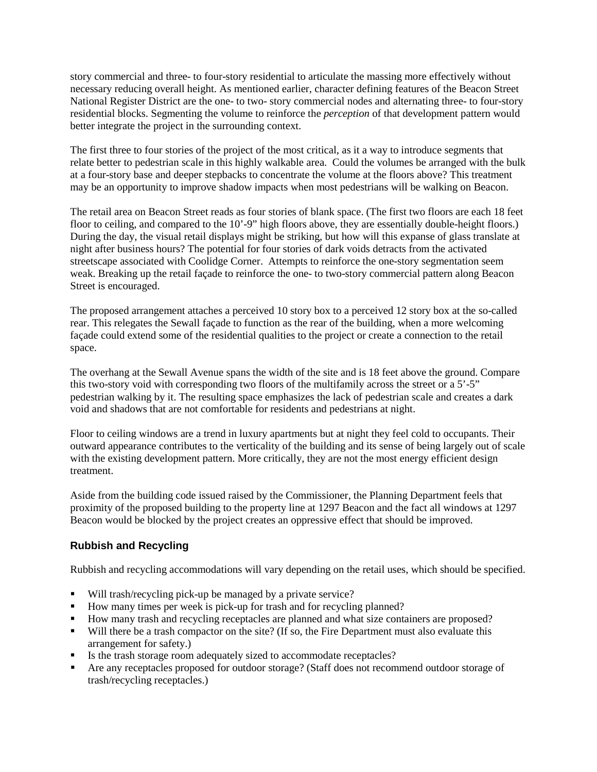story commercial and three- to four-story residential to articulate the massing more effectively without necessary reducing overall height. As mentioned earlier, character defining features of the Beacon Street National Register District are the one- to two- story commercial nodes and alternating three- to four-story residential blocks. Segmenting the volume to reinforce the *perception* of that development pattern would better integrate the project in the surrounding context.

The first three to four stories of the project of the most critical, as it a way to introduce segments that relate better to pedestrian scale in this highly walkable area. Could the volumes be arranged with the bulk at a four-story base and deeper stepbacks to concentrate the volume at the floors above? This treatment may be an opportunity to improve shadow impacts when most pedestrians will be walking on Beacon.

The retail area on Beacon Street reads as four stories of blank space. (The first two floors are each 18 feet floor to ceiling, and compared to the 10'-9" high floors above, they are essentially double-height floors.) During the day, the visual retail displays might be striking, but how will this expanse of glass translate at night after business hours? The potential for four stories of dark voids detracts from the activated streetscape associated with Coolidge Corner. Attempts to reinforce the one-story segmentation seem weak. Breaking up the retail façade to reinforce the one- to two-story commercial pattern along Beacon Street is encouraged.

The proposed arrangement attaches a perceived 10 story box to a perceived 12 story box at the so-called rear. This relegates the Sewall façade to function as the rear of the building, when a more welcoming façade could extend some of the residential qualities to the project or create a connection to the retail space.

The overhang at the Sewall Avenue spans the width of the site and is 18 feet above the ground. Compare this two-story void with corresponding two floors of the multifamily across the street or a 5'-5" pedestrian walking by it. The resulting space emphasizes the lack of pedestrian scale and creates a dark void and shadows that are not comfortable for residents and pedestrians at night.

Floor to ceiling windows are a trend in luxury apartments but at night they feel cold to occupants. Their outward appearance contributes to the verticality of the building and its sense of being largely out of scale with the existing development pattern. More critically, they are not the most energy efficient design treatment.

Aside from the building code issued raised by the Commissioner, the Planning Department feels that proximity of the proposed building to the property line at 1297 Beacon and the fact all windows at 1297 Beacon would be blocked by the project creates an oppressive effect that should be improved.

# **Rubbish and Recycling**

Rubbish and recycling accommodations will vary depending on the retail uses, which should be specified.

- Will trash/recycling pick-up be managed by a private service?
- How many times per week is pick-up for trash and for recycling planned?
- How many trash and recycling receptacles are planned and what size containers are proposed?
- Will there be a trash compactor on the site? (If so, the Fire Department must also evaluate this arrangement for safety.)
- Is the trash storage room adequately sized to accommodate receptacles?
- Are any receptacles proposed for outdoor storage? (Staff does not recommend outdoor storage of trash/recycling receptacles.)